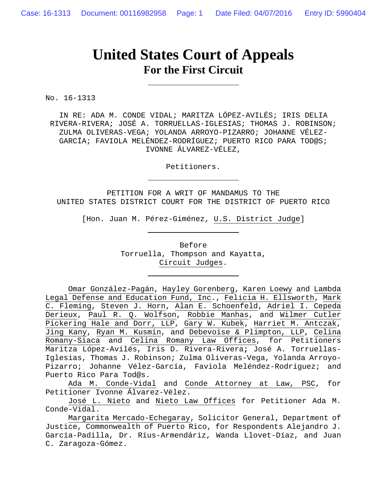## **United States Court of Appeals For the First Circuit**

No. 16-1313

IN RE: ADA M. CONDE VIDAL; MARITZA LÓPEZ-AVILÉS; IRIS DELIA RIVERA-RIVERA; JOSÉ A. TORRUELLAS-IGLESIAS; THOMAS J. ROBINSON; ZULMA OLIVERAS-VEGA; YOLANDA ARROYO-PIZARRO; JOHANNE VÉLEZ-GARCÍA; FAVIOLA MELÉNDEZ-RODRÍGUEZ; PUERTO RICO PARA TOD@S; IVONNE ÁLVAREZ-VÉLEZ,

Petitioners.

PETITION FOR A WRIT OF MANDAMUS TO THE UNITED STATES DISTRICT COURT FOR THE DISTRICT OF PUERTO RICO

[Hon. Juan M. Pérez-Giménez, U.S. District Judge]

Before Torruella, Thompson and Kayatta, Circuit Judges.

Omar González-Pagán, Hayley Gorenberg, Karen Loewy and Lambda Legal Defense and Education Fund, Inc., Felicia H. Ellsworth, Mark C. Fleming, Steven J. Horn, Alan E. Schoenfeld, Adriel I. Cepeda Derieux, Paul R. Q. Wolfson, Robbie Manhas, and Wilmer Cutler Pickering Hale and Dorr, LLP, Gary W. Kubek, Harriet M. Antczak, Jing Kany, Ryan M. Kusmin, and Debevoise & Plimpton, LLP, Celina Romany-Siaca and Celina Romany Law Offices, for Petitioners Maritza López-Avilés, Iris D. Rivera-Rivera**;** José A. Torruellas-Iglesias, Thomas J. Robinson; Zulma Oliveras-Vega, Yolanda Arroyo-Pizarro; Johanne Vélez-García, Faviola Meléndez-Rodríguez; and Puerto Rico Para Tod@s.

Ada M. Conde-Vidal and Conde Attorney at Law, PSC, for Petitioner Ivonne Álvarez-Vélez.

José L. Nieto and Nieto Law Offices for Petitioner Ada M. Conde-Vidal.

Margarita Mercado-Echegaray, Solicitor General, Department of Justice, Commonwealth of Puerto Rico, for Respondents Alejandro J. García-Padilla, Dr. Ríus-Armendáriz, Wanda Llovet-Díaz, and Juan C. Zaragoza-Gómez.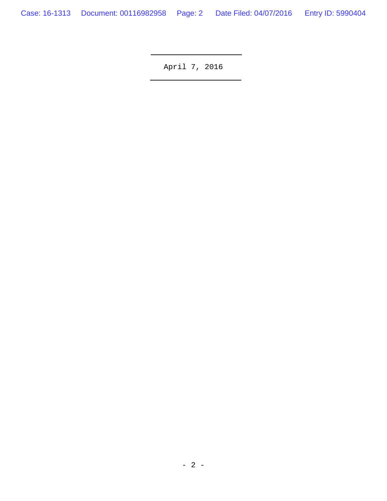April 7, 2016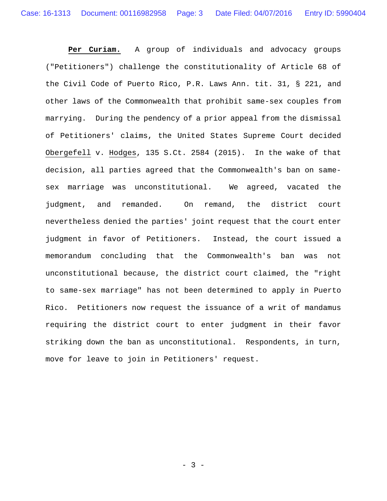**Per Curiam.** A group of individuals and advocacy groups ("Petitioners") challenge the constitutionality of Article 68 of the Civil Code of Puerto Rico, P.R. Laws Ann. tit. 31, § 221, and other laws of the Commonwealth that prohibit same-sex couples from marrying. During the pendency of a prior appeal from the dismissal of Petitioners' claims, the United States Supreme Court decided Obergefell v. Hodges, 135 S.Ct. 2584 (2015). In the wake of that decision, all parties agreed that the Commonwealth's ban on samesex marriage was unconstitutional. We agreed, vacated the judgment, and remanded. On remand, the district court nevertheless denied the parties' joint request that the court enter judgment in favor of Petitioners. Instead, the court issued a memorandum concluding that the Commonwealth's ban was not unconstitutional because, the district court claimed, the "right to same-sex marriage" has not been determined to apply in Puerto Rico. Petitioners now request the issuance of a writ of mandamus requiring the district court to enter judgment in their favor striking down the ban as unconstitutional. Respondents, in turn, move for leave to join in Petitioners' request.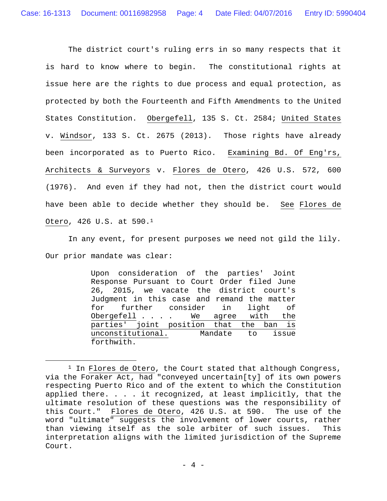The district court's ruling errs in so many respects that it is hard to know where to begin. The constitutional rights at issue here are the rights to due process and equal protection, as protected by both the Fourteenth and Fifth Amendments to the United States Constitution. Obergefell, 135 S. Ct. 2584; United States v. Windsor, 133 S. Ct. 2675 (2013). Those rights have already been incorporated as to Puerto Rico. Examining Bd. Of Eng'rs, Architects & Surveyors v. Flores de Otero, 426 U.S. 572, 600 (1976). And even if they had not, then the district court would have been able to decide whether they should be. See Flores de Otero, 426 U.S. at 590.1

In any event, for present purposes we need not gild the lily. Our prior mandate was clear:

> Upon consideration of the parties' Joint Response Pursuant to Court Order filed June 26, 2015, we vacate the district court's Judgment in this case and remand the matter for further consider in light of Obergefell . . . We agree with the parties' joint position that the ban is unconstitutional. Mandate to issue forthwith.

 $1$  In Flores de Otero, the Court stated that although Congress, via the Foraker Act, had "conveyed uncertain[ty] of its own powers respecting Puerto Rico and of the extent to which the Constitution applied there. . . . it recognized, at least implicitly, that the ultimate resolution of these questions was the responsibility of this Court." Flores de Otero, 426 U.S. at 590. The use of the word "ultimate" suggests the involvement of lower courts, rather than viewing itself as the sole arbiter of such issues. This interpretation aligns with the limited jurisdiction of the Supreme Court.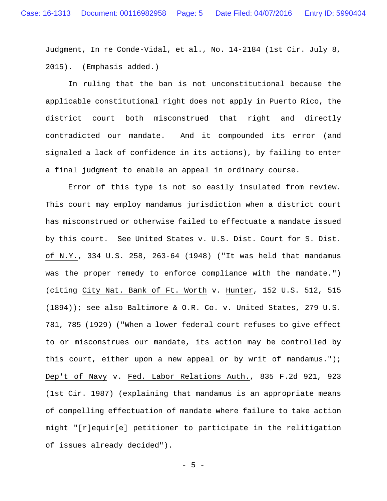Judgment, In re Conde-Vidal, et al., No. 14-2184 (1st Cir. July 8, 2015). (Emphasis added.)

In ruling that the ban is not unconstitutional because the applicable constitutional right does not apply in Puerto Rico, the district court both misconstrued that right and directly contradicted our mandate. And it compounded its error (and signaled a lack of confidence in its actions), by failing to enter a final judgment to enable an appeal in ordinary course.

Error of this type is not so easily insulated from review. This court may employ mandamus jurisdiction when a district court has misconstrued or otherwise failed to effectuate a mandate issued by this court. See United States v. U.S. Dist. Court for S. Dist. of N.Y., 334 U.S. 258, 263-64 (1948) ("It was held that mandamus was the proper remedy to enforce compliance with the mandate.") (citing City Nat. Bank of Ft. Worth v. Hunter, 152 U.S. 512, 515 (1894)); see also Baltimore & O.R. Co. v. United States, 279 U.S. 781, 785 (1929) ("When a lower federal court refuses to give effect to or misconstrues our mandate, its action may be controlled by this court, either upon a new appeal or by writ of mandamus."); Dep't of Navy v. Fed. Labor Relations Auth., 835 F.2d 921, 923 (1st Cir. 1987) (explaining that mandamus is an appropriate means of compelling effectuation of mandate where failure to take action might "[r]equir[e] petitioner to participate in the relitigation of issues already decided").

- 5 -